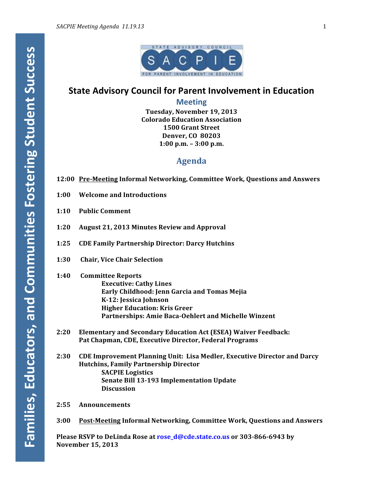

# **State Advisory Council for Parent Involvement in Education**

**Meeting**

**Tuesday, November 19, 2013 Colorado Education Association 1500 Grant Street Denver, CO 80203 1:00 p.m. – 3:00 p.m.**

## **Agenda**

- **12:00 Pre-Meeting Informal Networking, Committee Work, Questions and Answers**
- **1:00 Welcome and Introductions**
- **1:10 Public Comment**
- **1:20 August 21, 2013 Minutes Review and Approval**
- 1:25 CDE Family Partnership Director: Darcy Hutchins
- **1:30 Chair, Vice Chair Selection**
- **1:40 Committee Reports Executive: Cathy Lines Early Childhood: Jenn Garcia and Tomas Mejia K-12: Jessica Johnson Higher Education: Kris Greer** Partnerships: Amie Baca-Oehlert and Michelle Winzent
- 2:20 **Elementary and Secondary Education Act (ESEA) Waiver Feedback:** Pat Chapman, CDE, Executive Director, Federal Programs
- **2:30** CDE Improvement Planning Unit: Lisa Medler, Executive Director and Darcy **Hutchins, Family Partnership Director SACPIE** Logistics **Senate Bill 13-193 Implementation Update Discussion**
- **2:55 Announcements**
- **3:00 Post-Meeting Informal Networking, Committee Work, Questions and Answers**

**Please RSVP to DeLinda Rose at rose\_d@cde.state.co.us or 303-866-6943 by November 15, 2013**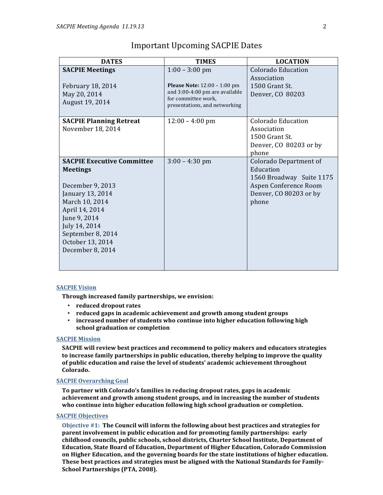| <b>DATES</b>                                                                                                                                                                                                                   | <b>TIMES</b>                                                                                                                                      | <b>LOCATION</b>                                                                                                                    |
|--------------------------------------------------------------------------------------------------------------------------------------------------------------------------------------------------------------------------------|---------------------------------------------------------------------------------------------------------------------------------------------------|------------------------------------------------------------------------------------------------------------------------------------|
| <b>SACPIE Meetings</b><br>February 18, 2014<br>May 20, 2014<br>August 19, 2014                                                                                                                                                 | $1:00 - 3:00$ pm<br><b>Please Note:</b> 12:00 - 1:00 pm<br>and 3:00-4:00 pm are available<br>for committee work,<br>presentations, and networking | Colorado Education<br>Association<br>1500 Grant St.<br>Denver, CO 80203                                                            |
| <b>SACPIE Planning Retreat</b><br>November 18, 2014                                                                                                                                                                            | $12:00 - 4:00$ pm                                                                                                                                 | Colorado Education<br>Association<br>1500 Grant St.<br>Denver, CO 80203 or by<br>phone                                             |
| <b>SACPIE Executive Committee</b><br><b>Meetings</b><br>December 9, 2013<br>January 13, 2014<br>March 10, 2014<br>April 14, 2014<br>June 9, 2014<br>July 14, 2014<br>September 8, 2014<br>October 13, 2014<br>December 8, 2014 | $3:00 - 4:30$ pm                                                                                                                                  | <b>Colorado Department of</b><br>Education<br>1560 Broadway Suite 1175<br>Aspen Conference Room<br>Denver, CO 80203 or by<br>phone |

## Important Upcoming SACPIE Dates

### **SACPIE Vision**

**Through increased family partnerships, we envision:** 

- **reduced dropout rates**
- reduced gaps in academic achievement and growth among student groups
- **increased number of students who continue into higher education following high school graduation or completion**

## **SACPIE Mission**

**SACPIE** will review best practices and recommend to policy makers and educators strategies to increase family partnerships in public education, thereby helping to improve the quality of public education and raise the level of students' academic achievement throughout Colorado.

## **SACPIE Overarching Goal**

**To partner with Colorado's families in reducing dropout rates, gaps in academic** achievement and growth among student groups, and in increasing the number of students who continue into higher education following high school graduation or completion.

## **SACPIE Objectives**

Objective #1: The Council will inform the following about best practices and strategies for **parent involvement in public education and for promoting family partnerships: early** childhood councils, public schools, school districts, Charter School Institute, Department of **Education, State Board of Education, Department of Higher Education, Colorado Commission** on Higher Education, and the governing boards for the state institutions of higher education. These best practices and strategies must be aligned with the National Standards for Family-**School Partnerships (PTA, 2008).**